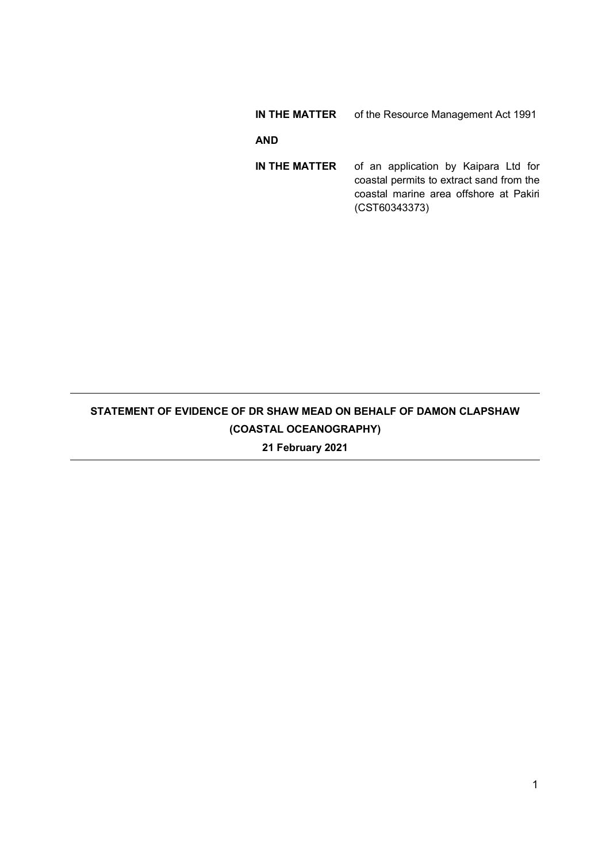# IN THE MATTER of the Resource Management Act 1991

# AND

IN THE MATTER of an application by Kaipara Ltd for coastal permits to extract sand from the coastal marine area offshore at Pakiri (CST60343373)

# STATEMENT OF EVIDENCE OF DR SHAW MEAD ON BEHALF OF DAMON CLAPSHAW (COASTAL OCEANOGRAPHY) 21 February 2021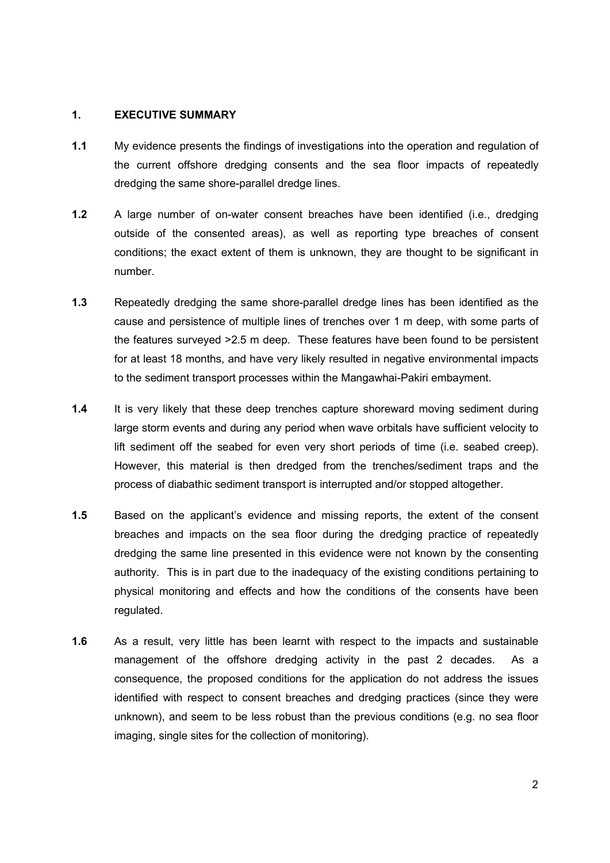#### 1. EXECUTIVE SUMMARY

- 1.1 My evidence presents the findings of investigations into the operation and regulation of the current offshore dredging consents and the sea floor impacts of repeatedly dredging the same shore-parallel dredge lines.
- 1.2 A large number of on-water consent breaches have been identified (i.e., dredging outside of the consented areas), as well as reporting type breaches of consent conditions; the exact extent of them is unknown, they are thought to be significant in number.
- 1.3 Repeatedly dredging the same shore-parallel dredge lines has been identified as the cause and persistence of multiple lines of trenches over 1 m deep, with some parts of the features surveyed >2.5 m deep. These features have been found to be persistent for at least 18 months, and have very likely resulted in negative environmental impacts to the sediment transport processes within the Mangawhai-Pakiri embayment.
- 1.4 It is very likely that these deep trenches capture shoreward moving sediment during large storm events and during any period when wave orbitals have sufficient velocity to lift sediment off the seabed for even very short periods of time (i.e. seabed creep). However, this material is then dredged from the trenches/sediment traps and the process of diabathic sediment transport is interrupted and/or stopped altogether.
- 1.5 Based on the applicant's evidence and missing reports, the extent of the consent breaches and impacts on the sea floor during the dredging practice of repeatedly dredging the same line presented in this evidence were not known by the consenting authority. This is in part due to the inadequacy of the existing conditions pertaining to physical monitoring and effects and how the conditions of the consents have been regulated.
- 1.6 As a result, very little has been learnt with respect to the impacts and sustainable management of the offshore dredging activity in the past 2 decades. As a consequence, the proposed conditions for the application do not address the issues identified with respect to consent breaches and dredging practices (since they were unknown), and seem to be less robust than the previous conditions (e.g. no sea floor imaging, single sites for the collection of monitoring).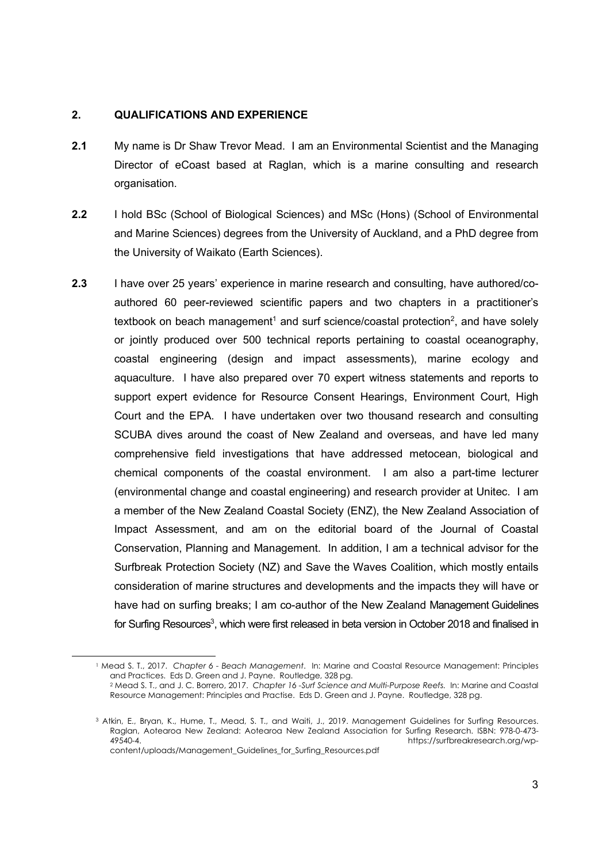## 2. QUALIFICATIONS AND EXPERIENCE

- 2.1 My name is Dr Shaw Trevor Mead. I am an Environmental Scientist and the Managing Director of eCoast based at Raglan, which is a marine consulting and research organisation.
- 2.2 I hold BSc (School of Biological Sciences) and MSc (Hons) (School of Environmental and Marine Sciences) degrees from the University of Auckland, and a PhD degree from the University of Waikato (Earth Sciences).
- 2.3 I have over 25 years' experience in marine research and consulting, have authored/coauthored 60 peer-reviewed scientific papers and two chapters in a practitioner's textbook on beach management<sup>1</sup> and surf science/coastal protection<sup>2</sup>, and have solely or jointly produced over 500 technical reports pertaining to coastal oceanography, coastal engineering (design and impact assessments), marine ecology and aquaculture. I have also prepared over 70 expert witness statements and reports to support expert evidence for Resource Consent Hearings, Environment Court, High Court and the EPA. I have undertaken over two thousand research and consulting SCUBA dives around the coast of New Zealand and overseas, and have led many comprehensive field investigations that have addressed metocean, biological and chemical components of the coastal environment. I am also a part-time lecturer (environmental change and coastal engineering) and research provider at Unitec. I am a member of the New Zealand Coastal Society (ENZ), the New Zealand Association of Impact Assessment, and am on the editorial board of the Journal of Coastal Conservation, Planning and Management. In addition, I am a technical advisor for the Surfbreak Protection Society (NZ) and Save the Waves Coalition, which mostly entails consideration of marine structures and developments and the impacts they will have or have had on surfing breaks; I am co-author of the New Zealand Management Guidelines for Surfing Resources<sup>3</sup>, which were first released in beta version in October 2018 and finalised in

<sup>1</sup> Mead S. T., 2017. Chapter 6 - Beach Management. In: Marine and Coastal Resource Management: Principles and Practices. Eds D. Green and J. Payne. Routledge, 328 pg.

<sup>2</sup> Mead S. T., and J. C. Borrero, 2017. Chapter 16 -Surf Science and Multi-Purpose Reefs. In: Marine and Coastal Resource Management: Principles and Practise. Eds D. Green and J. Payne. Routledge, 328 pg.

<sup>3</sup> Atkin, E., Bryan, K., Hume, T., Mead, S. T., and Waiti, J., 2019. Management Guidelines for Surfing Resources. Raglan, Aotearoa New Zealand: Aotearoa New Zealand Association for Surfing Research. ISBN: 978-0-473-<br>A9540-4. https://surfbreakresearch.org/wp-49540-4. https://surfbreakresearch.org/wpcontent/uploads/Management\_Guidelines\_for\_Surfing\_Resources.pdf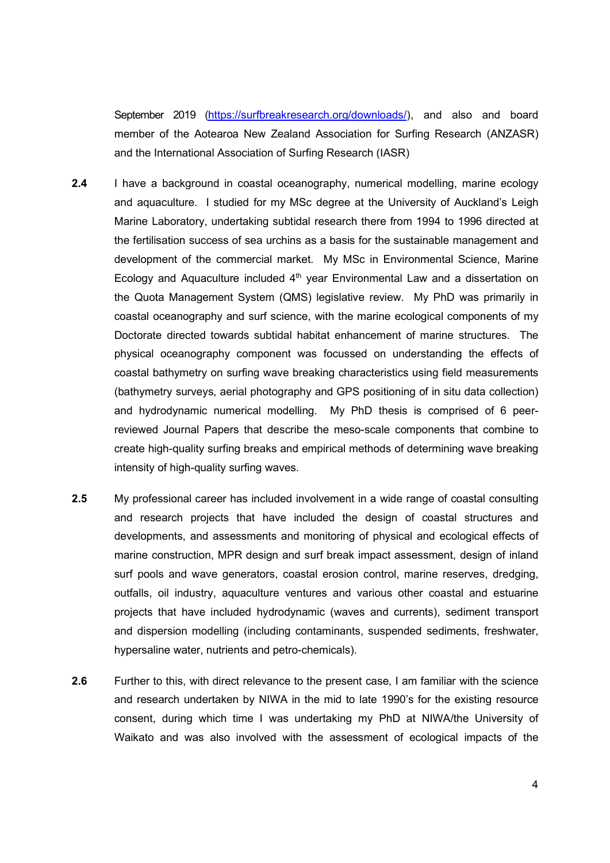September 2019 (https://surfbreakresearch.org/downloads/), and also and board member of the Aotearoa New Zealand Association for Surfing Research (ANZASR) and the International Association of Surfing Research (IASR)

- 2.4 I have a background in coastal oceanography, numerical modelling, marine ecology and aquaculture. I studied for my MSc degree at the University of Auckland's Leigh Marine Laboratory, undertaking subtidal research there from 1994 to 1996 directed at the fertilisation success of sea urchins as a basis for the sustainable management and development of the commercial market. My MSc in Environmental Science, Marine Ecology and Aquaculture included 4<sup>th</sup> year Environmental Law and a dissertation on the Quota Management System (QMS) legislative review. My PhD was primarily in coastal oceanography and surf science, with the marine ecological components of my Doctorate directed towards subtidal habitat enhancement of marine structures. The physical oceanography component was focussed on understanding the effects of coastal bathymetry on surfing wave breaking characteristics using field measurements (bathymetry surveys, aerial photography and GPS positioning of in situ data collection) and hydrodynamic numerical modelling. My PhD thesis is comprised of 6 peerreviewed Journal Papers that describe the meso-scale components that combine to create high-quality surfing breaks and empirical methods of determining wave breaking intensity of high-quality surfing waves.
- 2.5 My professional career has included involvement in a wide range of coastal consulting and research projects that have included the design of coastal structures and developments, and assessments and monitoring of physical and ecological effects of marine construction, MPR design and surf break impact assessment, design of inland surf pools and wave generators, coastal erosion control, marine reserves, dredging, outfalls, oil industry, aquaculture ventures and various other coastal and estuarine projects that have included hydrodynamic (waves and currents), sediment transport and dispersion modelling (including contaminants, suspended sediments, freshwater, hypersaline water, nutrients and petro-chemicals).
- 2.6 Further to this, with direct relevance to the present case, I am familiar with the science and research undertaken by NIWA in the mid to late 1990's for the existing resource consent, during which time I was undertaking my PhD at NIWA/the University of Waikato and was also involved with the assessment of ecological impacts of the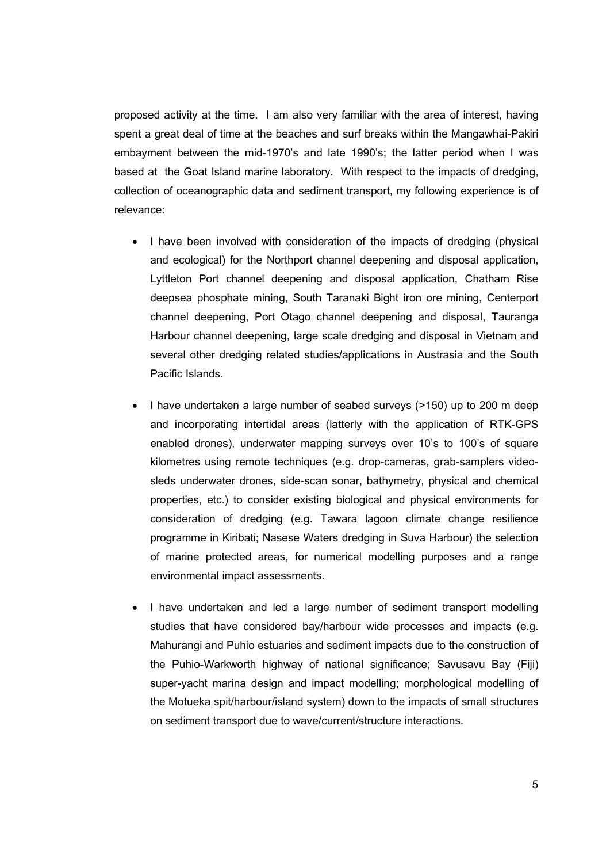proposed activity at the time. I am also very familiar with the area of interest, having spent a great deal of time at the beaches and surf breaks within the Mangawhai-Pakiri embayment between the mid-1970's and late 1990's; the latter period when I was based at the Goat Island marine laboratory. With respect to the impacts of dredging, collection of oceanographic data and sediment transport, my following experience is of relevance:

- I have been involved with consideration of the impacts of dredging (physical and ecological) for the Northport channel deepening and disposal application, Lyttleton Port channel deepening and disposal application, Chatham Rise deepsea phosphate mining, South Taranaki Bight iron ore mining, Centerport channel deepening, Port Otago channel deepening and disposal, Tauranga Harbour channel deepening, large scale dredging and disposal in Vietnam and several other dredging related studies/applications in Austrasia and the South Pacific Islands.
- I have undertaken a large number of seabed surveys (>150) up to 200 m deep and incorporating intertidal areas (latterly with the application of RTK-GPS enabled drones), underwater mapping surveys over 10's to 100's of square kilometres using remote techniques (e.g. drop-cameras, grab-samplers videosleds underwater drones, side-scan sonar, bathymetry, physical and chemical properties, etc.) to consider existing biological and physical environments for consideration of dredging (e.g. Tawara lagoon climate change resilience programme in Kiribati; Nasese Waters dredging in Suva Harbour) the selection of marine protected areas, for numerical modelling purposes and a range environmental impact assessments.
- I have undertaken and led a large number of sediment transport modelling studies that have considered bay/harbour wide processes and impacts (e.g. Mahurangi and Puhio estuaries and sediment impacts due to the construction of the Puhio-Warkworth highway of national significance; Savusavu Bay (Fiji) super-yacht marina design and impact modelling; morphological modelling of the Motueka spit/harbour/island system) down to the impacts of small structures on sediment transport due to wave/current/structure interactions.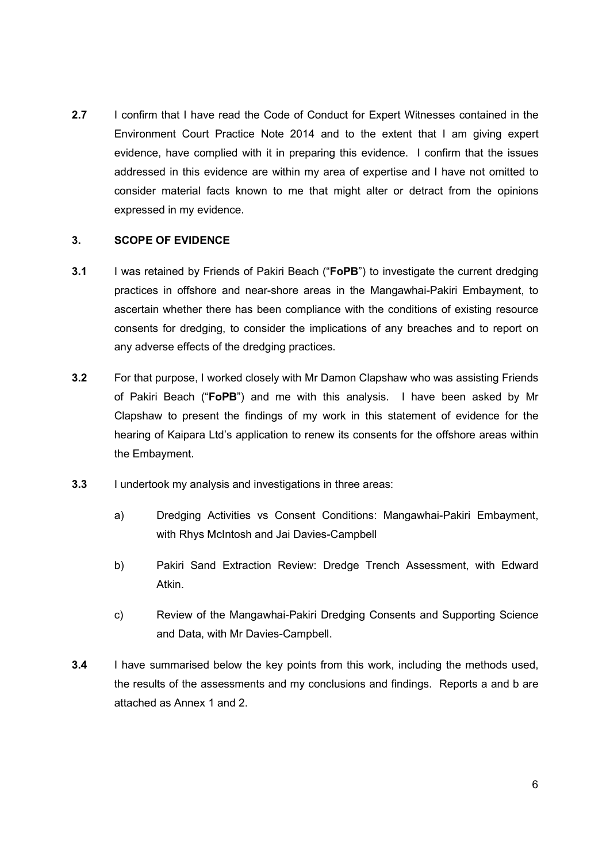2.7 I confirm that I have read the Code of Conduct for Expert Witnesses contained in the Environment Court Practice Note 2014 and to the extent that I am giving expert evidence, have complied with it in preparing this evidence. I confirm that the issues addressed in this evidence are within my area of expertise and I have not omitted to consider material facts known to me that might alter or detract from the opinions expressed in my evidence.

# 3. SCOPE OF EVIDENCE

- 3.1 I was retained by Friends of Pakiri Beach ("FoPB") to investigate the current dredging practices in offshore and near-shore areas in the Mangawhai-Pakiri Embayment, to ascertain whether there has been compliance with the conditions of existing resource consents for dredging, to consider the implications of any breaches and to report on any adverse effects of the dredging practices.
- 3.2 For that purpose, I worked closely with Mr Damon Clapshaw who was assisting Friends of Pakiri Beach ("FoPB") and me with this analysis. I have been asked by Mr Clapshaw to present the findings of my work in this statement of evidence for the hearing of Kaipara Ltd's application to renew its consents for the offshore areas within the Embayment.
- **3.3** I undertook my analysis and investigations in three areas:
	- a) Dredging Activities vs Consent Conditions: Mangawhai-Pakiri Embayment, with Rhys McIntosh and Jai Davies-Campbell
	- b) Pakiri Sand Extraction Review: Dredge Trench Assessment, with Edward Atkin.
	- c) Review of the Mangawhai-Pakiri Dredging Consents and Supporting Science and Data, with Mr Davies-Campbell.
- **3.4** I have summarised below the key points from this work, including the methods used, the results of the assessments and my conclusions and findings. Reports a and b are attached as Annex 1 and 2.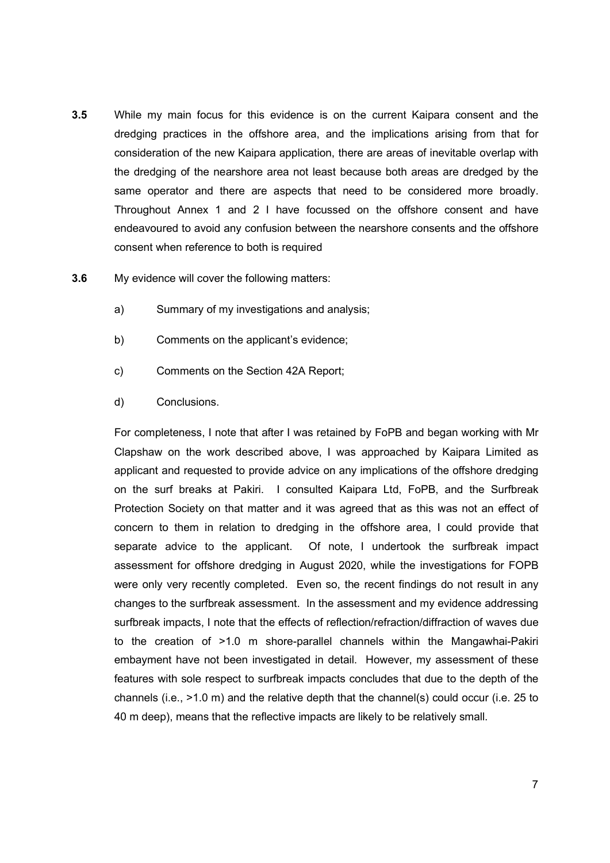- 3.5 While my main focus for this evidence is on the current Kaipara consent and the dredging practices in the offshore area, and the implications arising from that for consideration of the new Kaipara application, there are areas of inevitable overlap with the dredging of the nearshore area not least because both areas are dredged by the same operator and there are aspects that need to be considered more broadly. Throughout Annex 1 and 2 I have focussed on the offshore consent and have endeavoured to avoid any confusion between the nearshore consents and the offshore consent when reference to both is required
- 3.6 My evidence will cover the following matters:
	- a) Summary of my investigations and analysis;
	- b) Comments on the applicant's evidence;
	- c) Comments on the Section 42A Report;
	- d) Conclusions.

For completeness, I note that after I was retained by FoPB and began working with Mr Clapshaw on the work described above, I was approached by Kaipara Limited as applicant and requested to provide advice on any implications of the offshore dredging on the surf breaks at Pakiri. I consulted Kaipara Ltd, FoPB, and the Surfbreak Protection Society on that matter and it was agreed that as this was not an effect of concern to them in relation to dredging in the offshore area, I could provide that separate advice to the applicant. Of note, I undertook the surfbreak impact assessment for offshore dredging in August 2020, while the investigations for FOPB were only very recently completed. Even so, the recent findings do not result in any changes to the surfbreak assessment. In the assessment and my evidence addressing surfbreak impacts, I note that the effects of reflection/refraction/diffraction of waves due to the creation of >1.0 m shore-parallel channels within the Mangawhai-Pakiri embayment have not been investigated in detail. However, my assessment of these features with sole respect to surfbreak impacts concludes that due to the depth of the channels (i.e., >1.0 m) and the relative depth that the channel(s) could occur (i.e. 25 to 40 m deep), means that the reflective impacts are likely to be relatively small.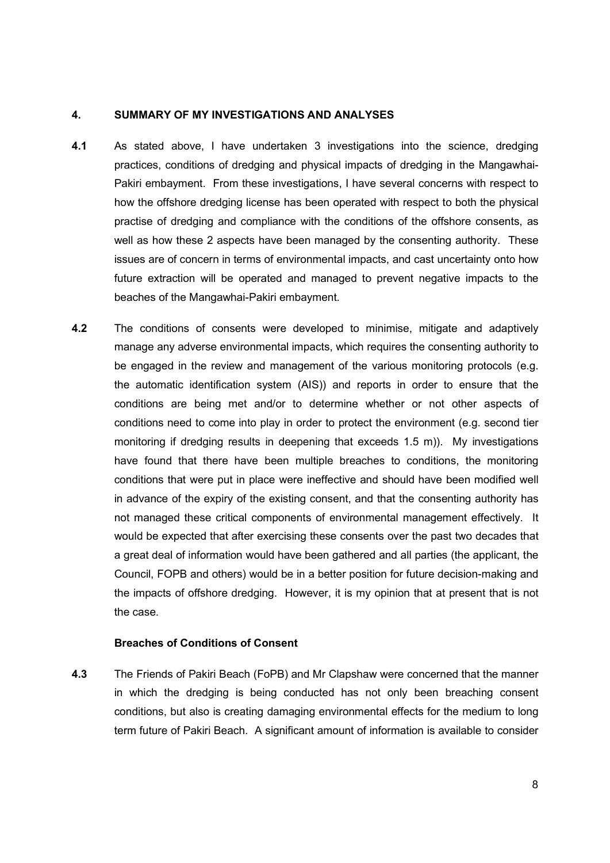#### 4. SUMMARY OF MY INVESTIGATIONS AND ANALYSES

- 4.1 As stated above, I have undertaken 3 investigations into the science, dredging practices, conditions of dredging and physical impacts of dredging in the Mangawhai-Pakiri embayment. From these investigations, I have several concerns with respect to how the offshore dredging license has been operated with respect to both the physical practise of dredging and compliance with the conditions of the offshore consents, as well as how these 2 aspects have been managed by the consenting authority. These issues are of concern in terms of environmental impacts, and cast uncertainty onto how future extraction will be operated and managed to prevent negative impacts to the beaches of the Mangawhai-Pakiri embayment.
- 4.2 The conditions of consents were developed to minimise, mitigate and adaptively manage any adverse environmental impacts, which requires the consenting authority to be engaged in the review and management of the various monitoring protocols (e.g. the automatic identification system (AIS)) and reports in order to ensure that the conditions are being met and/or to determine whether or not other aspects of conditions need to come into play in order to protect the environment (e.g. second tier monitoring if dredging results in deepening that exceeds 1.5 m)). My investigations have found that there have been multiple breaches to conditions, the monitoring conditions that were put in place were ineffective and should have been modified well in advance of the expiry of the existing consent, and that the consenting authority has not managed these critical components of environmental management effectively. It would be expected that after exercising these consents over the past two decades that a great deal of information would have been gathered and all parties (the applicant, the Council, FOPB and others) would be in a better position for future decision-making and the impacts of offshore dredging. However, it is my opinion that at present that is not the case.

## Breaches of Conditions of Consent

4.3 The Friends of Pakiri Beach (FoPB) and Mr Clapshaw were concerned that the manner in which the dredging is being conducted has not only been breaching consent conditions, but also is creating damaging environmental effects for the medium to long term future of Pakiri Beach. A significant amount of information is available to consider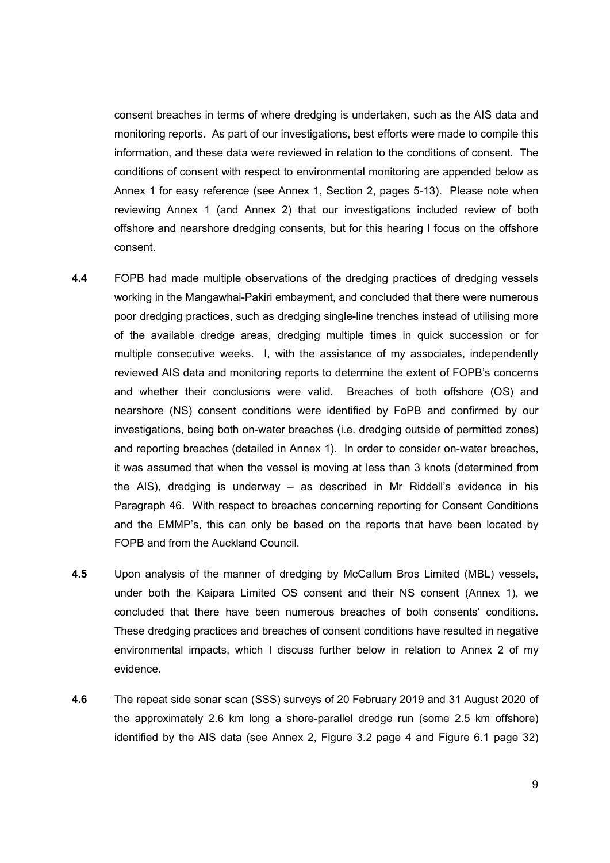consent breaches in terms of where dredging is undertaken, such as the AIS data and monitoring reports. As part of our investigations, best efforts were made to compile this information, and these data were reviewed in relation to the conditions of consent. The conditions of consent with respect to environmental monitoring are appended below as Annex 1 for easy reference (see Annex 1, Section 2, pages 5-13). Please note when reviewing Annex 1 (and Annex 2) that our investigations included review of both offshore and nearshore dredging consents, but for this hearing I focus on the offshore consent.

- 4.4 FOPB had made multiple observations of the dredging practices of dredging vessels working in the Mangawhai-Pakiri embayment, and concluded that there were numerous poor dredging practices, such as dredging single-line trenches instead of utilising more of the available dredge areas, dredging multiple times in quick succession or for multiple consecutive weeks. I, with the assistance of my associates, independently reviewed AIS data and monitoring reports to determine the extent of FOPB's concerns and whether their conclusions were valid. Breaches of both offshore (OS) and nearshore (NS) consent conditions were identified by FoPB and confirmed by our investigations, being both on-water breaches (i.e. dredging outside of permitted zones) and reporting breaches (detailed in Annex 1). In order to consider on-water breaches, it was assumed that when the vessel is moving at less than 3 knots (determined from the AIS), dredging is underway – as described in Mr Riddell's evidence in his Paragraph 46. With respect to breaches concerning reporting for Consent Conditions and the EMMP's, this can only be based on the reports that have been located by FOPB and from the Auckland Council.
- 4.5 Upon analysis of the manner of dredging by McCallum Bros Limited (MBL) vessels, under both the Kaipara Limited OS consent and their NS consent (Annex 1), we concluded that there have been numerous breaches of both consents' conditions. These dredging practices and breaches of consent conditions have resulted in negative environmental impacts, which I discuss further below in relation to Annex 2 of my evidence.
- 4.6 The repeat side sonar scan (SSS) surveys of 20 February 2019 and 31 August 2020 of the approximately 2.6 km long a shore-parallel dredge run (some 2.5 km offshore) identified by the AIS data (see Annex 2, Figure 3.2 page 4 and Figure 6.1 page 32)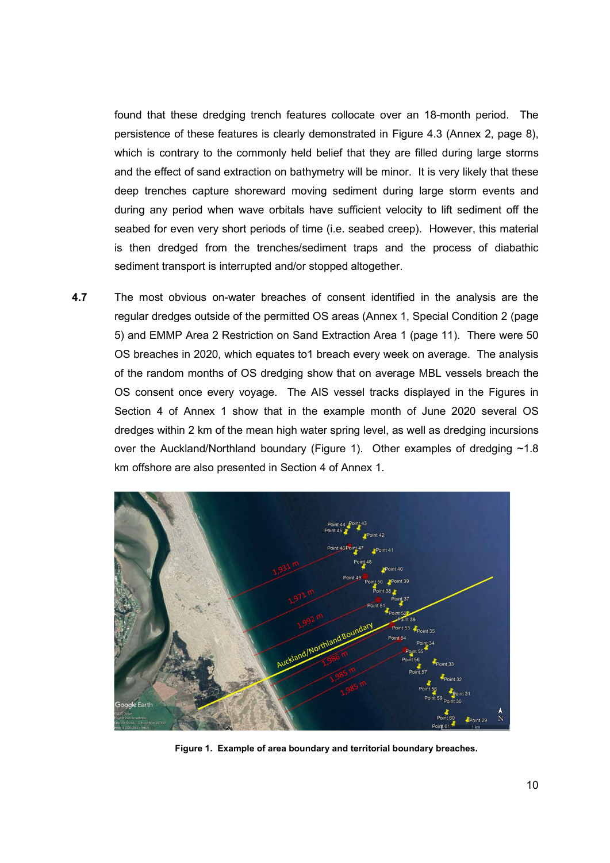found that these dredging trench features collocate over an 18-month period. The persistence of these features is clearly demonstrated in Figure 4.3 (Annex 2, page 8), which is contrary to the commonly held belief that they are filled during large storms and the effect of sand extraction on bathymetry will be minor. It is very likely that these deep trenches capture shoreward moving sediment during large storm events and during any period when wave orbitals have sufficient velocity to lift sediment off the seabed for even very short periods of time (i.e. seabed creep). However, this material is then dredged from the trenches/sediment traps and the process of diabathic sediment transport is interrupted and/or stopped altogether.

4.7 The most obvious on-water breaches of consent identified in the analysis are the regular dredges outside of the permitted OS areas (Annex 1, Special Condition 2 (page 5) and EMMP Area 2 Restriction on Sand Extraction Area 1 (page 11). There were 50 OS breaches in 2020, which equates to1 breach every week on average. The analysis of the random months of OS dredging show that on average MBL vessels breach the OS consent once every voyage. The AIS vessel tracks displayed in the Figures in Section 4 of Annex 1 show that in the example month of June 2020 several OS dredges within 2 km of the mean high water spring level, as well as dredging incursions over the Auckland/Northland boundary (Figure 1). Other examples of dredging ~1.8 km offshore are also presented in Section 4 of Annex 1.



Figure 1. Example of area boundary and territorial boundary breaches.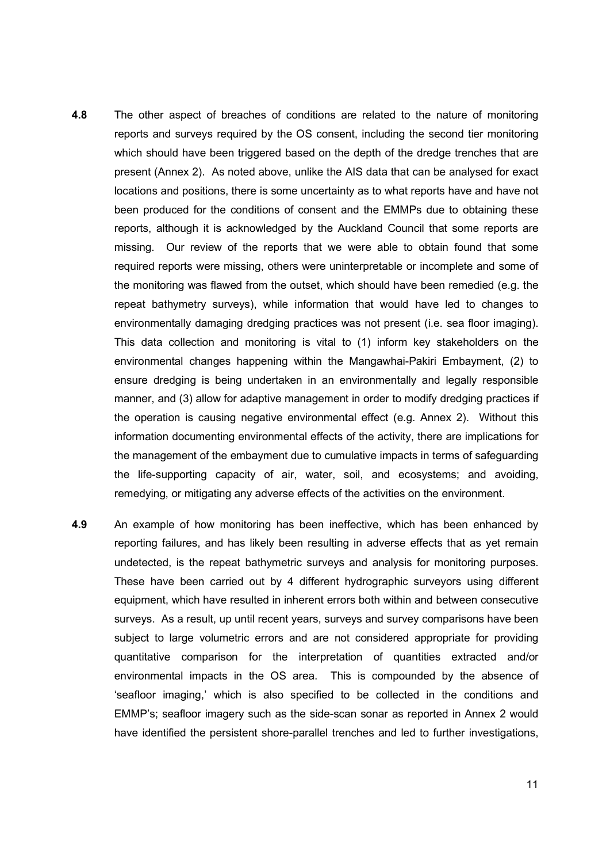- **4.8** The other aspect of breaches of conditions are related to the nature of monitoring reports and surveys required by the OS consent, including the second tier monitoring which should have been triggered based on the depth of the dredge trenches that are present (Annex 2). As noted above, unlike the AIS data that can be analysed for exact locations and positions, there is some uncertainty as to what reports have and have not been produced for the conditions of consent and the EMMPs due to obtaining these reports, although it is acknowledged by the Auckland Council that some reports are missing. Our review of the reports that we were able to obtain found that some required reports were missing, others were uninterpretable or incomplete and some of the monitoring was flawed from the outset, which should have been remedied (e.g. the repeat bathymetry surveys), while information that would have led to changes to environmentally damaging dredging practices was not present (i.e. sea floor imaging). This data collection and monitoring is vital to (1) inform key stakeholders on the environmental changes happening within the Mangawhai-Pakiri Embayment, (2) to ensure dredging is being undertaken in an environmentally and legally responsible manner, and (3) allow for adaptive management in order to modify dredging practices if the operation is causing negative environmental effect (e.g. Annex 2). Without this information documenting environmental effects of the activity, there are implications for the management of the embayment due to cumulative impacts in terms of safeguarding the life-supporting capacity of air, water, soil, and ecosystems; and avoiding, remedying, or mitigating any adverse effects of the activities on the environment.
- 4.9 An example of how monitoring has been ineffective, which has been enhanced by reporting failures, and has likely been resulting in adverse effects that as yet remain undetected, is the repeat bathymetric surveys and analysis for monitoring purposes. These have been carried out by 4 different hydrographic surveyors using different equipment, which have resulted in inherent errors both within and between consecutive surveys. As a result, up until recent years, surveys and survey comparisons have been subject to large volumetric errors and are not considered appropriate for providing quantitative comparison for the interpretation of quantities extracted and/or environmental impacts in the OS area. This is compounded by the absence of 'seafloor imaging,' which is also specified to be collected in the conditions and EMMP's; seafloor imagery such as the side-scan sonar as reported in Annex 2 would have identified the persistent shore-parallel trenches and led to further investigations,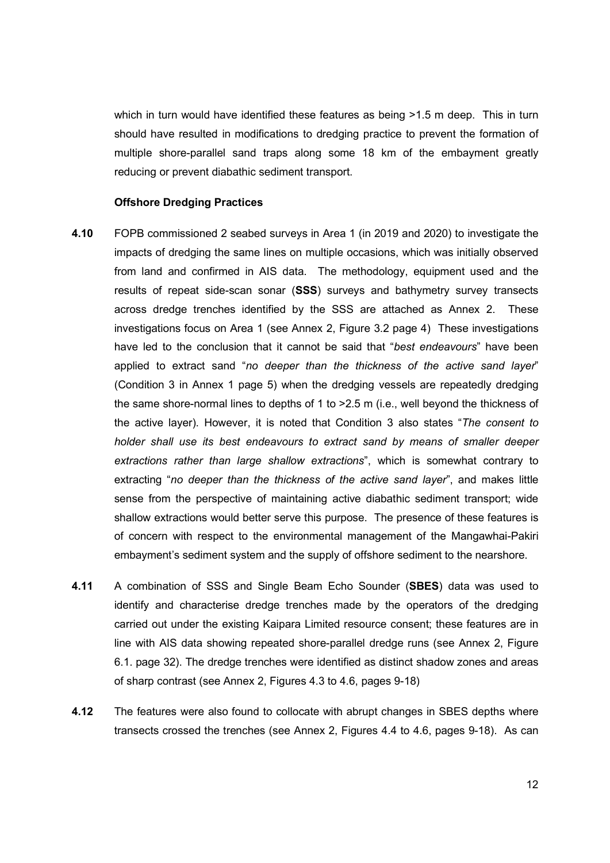which in turn would have identified these features as being >1.5 m deep. This in turn should have resulted in modifications to dredging practice to prevent the formation of multiple shore-parallel sand traps along some 18 km of the embayment greatly reducing or prevent diabathic sediment transport.

#### Offshore Dredging Practices

- 4.10 FOPB commissioned 2 seabed surveys in Area 1 (in 2019 and 2020) to investigate the impacts of dredging the same lines on multiple occasions, which was initially observed from land and confirmed in AIS data. The methodology, equipment used and the results of repeat side-scan sonar (SSS) surveys and bathymetry survey transects across dredge trenches identified by the SSS are attached as Annex 2. These investigations focus on Area 1 (see Annex 2, Figure 3.2 page 4) These investigations have led to the conclusion that it cannot be said that "best endeavours" have been applied to extract sand "no deeper than the thickness of the active sand layer" (Condition 3 in Annex 1 page 5) when the dredging vessels are repeatedly dredging the same shore-normal lines to depths of 1 to >2.5 m (i.e., well beyond the thickness of the active layer). However, it is noted that Condition 3 also states "The consent to holder shall use its best endeavours to extract sand by means of smaller deeper extractions rather than large shallow extractions", which is somewhat contrary to extracting "no deeper than the thickness of the active sand layer", and makes little sense from the perspective of maintaining active diabathic sediment transport; wide shallow extractions would better serve this purpose. The presence of these features is of concern with respect to the environmental management of the Mangawhai-Pakiri embayment's sediment system and the supply of offshore sediment to the nearshore.
- 4.11 A combination of SSS and Single Beam Echo Sounder (SBES) data was used to identify and characterise dredge trenches made by the operators of the dredging carried out under the existing Kaipara Limited resource consent; these features are in line with AIS data showing repeated shore-parallel dredge runs (see Annex 2, Figure 6.1. page 32). The dredge trenches were identified as distinct shadow zones and areas of sharp contrast (see Annex 2, Figures 4.3 to 4.6, pages 9-18)
- 4.12 The features were also found to collocate with abrupt changes in SBES depths where transects crossed the trenches (see Annex 2, Figures 4.4 to 4.6, pages 9-18). As can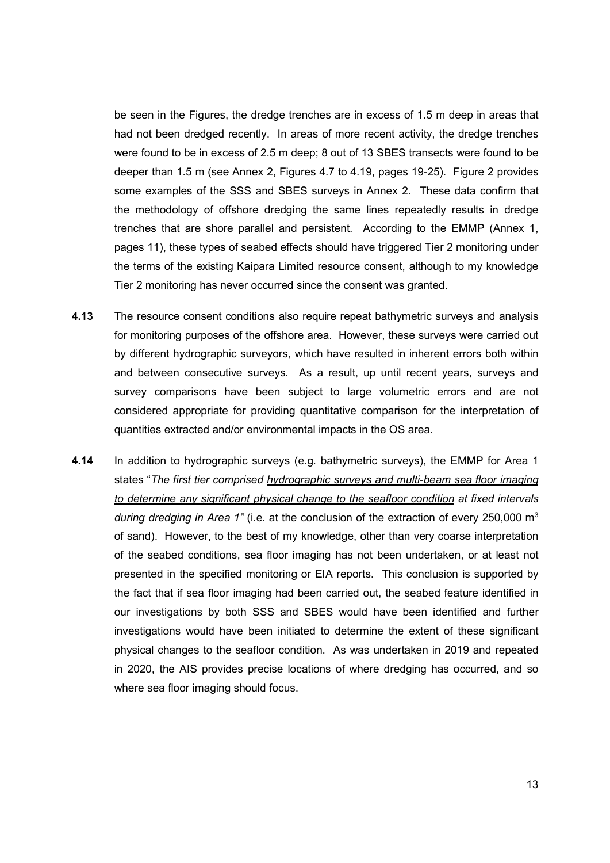be seen in the Figures, the dredge trenches are in excess of 1.5 m deep in areas that had not been dredged recently. In areas of more recent activity, the dredge trenches were found to be in excess of 2.5 m deep; 8 out of 13 SBES transects were found to be deeper than 1.5 m (see Annex 2, Figures 4.7 to 4.19, pages 19-25). Figure 2 provides some examples of the SSS and SBES surveys in Annex 2. These data confirm that the methodology of offshore dredging the same lines repeatedly results in dredge trenches that are shore parallel and persistent. According to the EMMP (Annex 1, pages 11), these types of seabed effects should have triggered Tier 2 monitoring under the terms of the existing Kaipara Limited resource consent, although to my knowledge Tier 2 monitoring has never occurred since the consent was granted.

- 4.13 The resource consent conditions also require repeat bathymetric surveys and analysis for monitoring purposes of the offshore area. However, these surveys were carried out by different hydrographic surveyors, which have resulted in inherent errors both within and between consecutive surveys. As a result, up until recent years, surveys and survey comparisons have been subject to large volumetric errors and are not considered appropriate for providing quantitative comparison for the interpretation of quantities extracted and/or environmental impacts in the OS area.
- 4.14 In addition to hydrographic surveys (e.g. bathymetric surveys), the EMMP for Area 1 states "The first tier comprised hydrographic surveys and multi-beam sea floor imaging to determine any significant physical change to the seafloor condition at fixed intervals during dredging in Area 1" (i.e. at the conclusion of the extraction of every 250,000  $m<sup>3</sup>$ of sand). However, to the best of my knowledge, other than very coarse interpretation of the seabed conditions, sea floor imaging has not been undertaken, or at least not presented in the specified monitoring or EIA reports. This conclusion is supported by the fact that if sea floor imaging had been carried out, the seabed feature identified in our investigations by both SSS and SBES would have been identified and further investigations would have been initiated to determine the extent of these significant physical changes to the seafloor condition. As was undertaken in 2019 and repeated in 2020, the AIS provides precise locations of where dredging has occurred, and so where sea floor imaging should focus.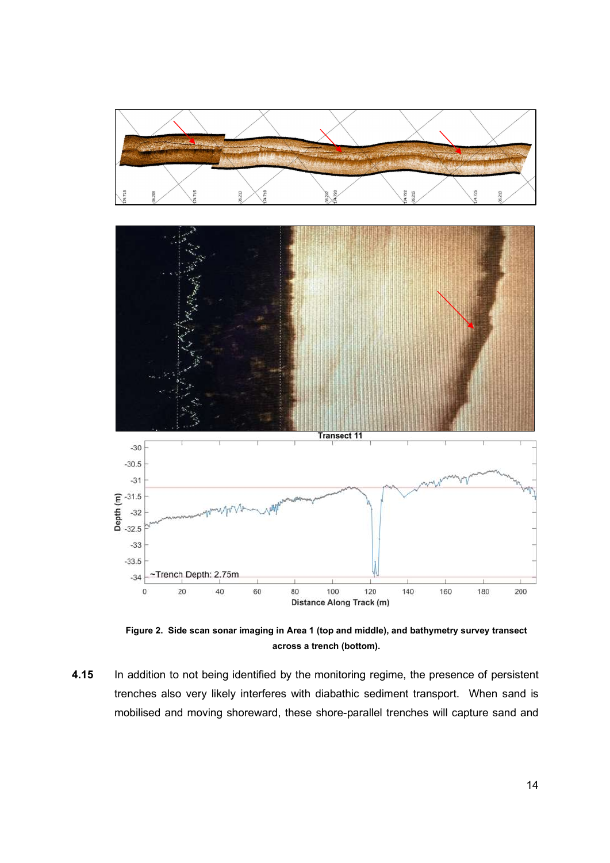

Figure 2. Side scan sonar imaging in Area 1 (top and middle), and bathymetry survey transect across a trench (bottom).

4.15 In addition to not being identified by the monitoring regime, the presence of persistent trenches also very likely interferes with diabathic sediment transport. When sand is mobilised and moving shoreward, these shore-parallel trenches will capture sand and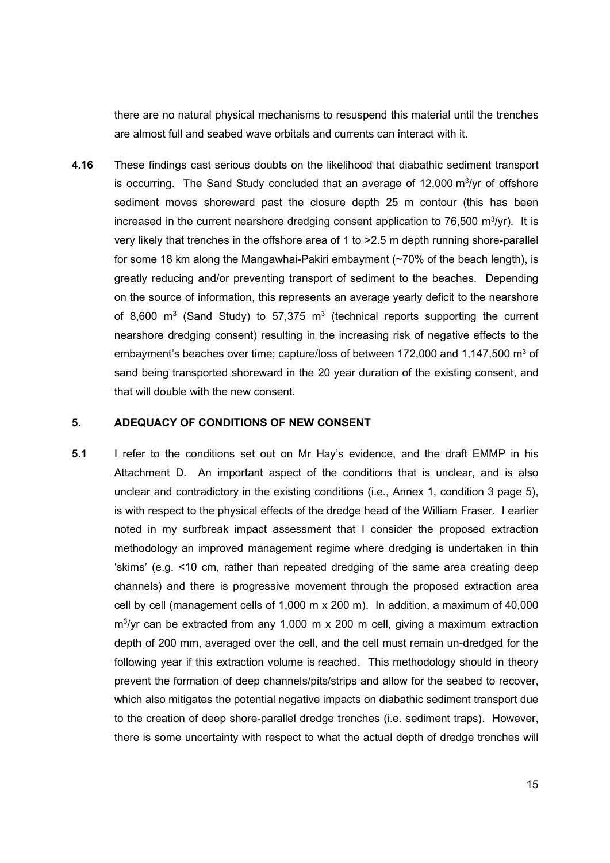there are no natural physical mechanisms to resuspend this material until the trenches are almost full and seabed wave orbitals and currents can interact with it.

4.16 These findings cast serious doubts on the likelihood that diabathic sediment transport is occurring. The Sand Study concluded that an average of 12,000  $\mathrm{m}^{3}/\mathrm{yr}$  of offshore sediment moves shoreward past the closure depth 25 m contour (this has been increased in the current nearshore dredging consent application to 76,500  $m^3$ /yr). It is very likely that trenches in the offshore area of 1 to >2.5 m depth running shore-parallel for some 18 km along the Mangawhai-Pakiri embayment (~70% of the beach length), is greatly reducing and/or preventing transport of sediment to the beaches. Depending on the source of information, this represents an average yearly deficit to the nearshore of 8,600 m<sup>3</sup> (Sand Study) to 57,375 m<sup>3</sup> (technical reports supporting the current nearshore dredging consent) resulting in the increasing risk of negative effects to the embayment's beaches over time; capture/loss of between 172,000 and 1,147,500  $m<sup>3</sup>$  of sand being transported shoreward in the 20 year duration of the existing consent, and that will double with the new consent.

#### 5. ADEQUACY OF CONDITIONS OF NEW CONSENT

5.1 I refer to the conditions set out on Mr Hay's evidence, and the draft EMMP in his Attachment D. An important aspect of the conditions that is unclear, and is also unclear and contradictory in the existing conditions (i.e., Annex 1, condition 3 page 5), is with respect to the physical effects of the dredge head of the William Fraser. I earlier noted in my surfbreak impact assessment that I consider the proposed extraction methodology an improved management regime where dredging is undertaken in thin 'skims' (e.g. <10 cm, rather than repeated dredging of the same area creating deep channels) and there is progressive movement through the proposed extraction area cell by cell (management cells of 1,000 m x 200 m). In addition, a maximum of 40,000 m<sup>3</sup>/yr can be extracted from any 1,000 m x 200 m cell, giving a maximum extraction depth of 200 mm, averaged over the cell, and the cell must remain un-dredged for the following year if this extraction volume is reached. This methodology should in theory prevent the formation of deep channels/pits/strips and allow for the seabed to recover, which also mitigates the potential negative impacts on diabathic sediment transport due to the creation of deep shore-parallel dredge trenches (i.e. sediment traps). However, there is some uncertainty with respect to what the actual depth of dredge trenches will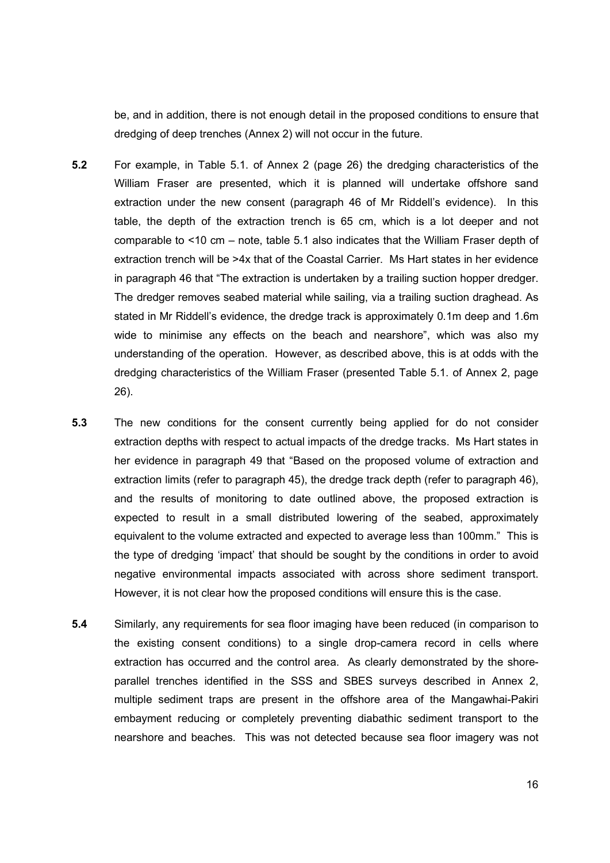be, and in addition, there is not enough detail in the proposed conditions to ensure that dredging of deep trenches (Annex 2) will not occur in the future.

- 5.2 For example, in Table 5.1. of Annex 2 (page 26) the dredging characteristics of the William Fraser are presented, which it is planned will undertake offshore sand extraction under the new consent (paragraph 46 of Mr Riddell's evidence). In this table, the depth of the extraction trench is 65 cm, which is a lot deeper and not comparable to <10 cm – note, table 5.1 also indicates that the William Fraser depth of extraction trench will be >4x that of the Coastal Carrier. Ms Hart states in her evidence in paragraph 46 that "The extraction is undertaken by a trailing suction hopper dredger. The dredger removes seabed material while sailing, via a trailing suction draghead. As stated in Mr Riddell's evidence, the dredge track is approximately 0.1m deep and 1.6m wide to minimise any effects on the beach and nearshore", which was also my understanding of the operation. However, as described above, this is at odds with the dredging characteristics of the William Fraser (presented Table 5.1. of Annex 2, page 26).
- 5.3 The new conditions for the consent currently being applied for do not consider extraction depths with respect to actual impacts of the dredge tracks. Ms Hart states in her evidence in paragraph 49 that "Based on the proposed volume of extraction and extraction limits (refer to paragraph 45), the dredge track depth (refer to paragraph 46), and the results of monitoring to date outlined above, the proposed extraction is expected to result in a small distributed lowering of the seabed, approximately equivalent to the volume extracted and expected to average less than 100mm." This is the type of dredging 'impact' that should be sought by the conditions in order to avoid negative environmental impacts associated with across shore sediment transport. However, it is not clear how the proposed conditions will ensure this is the case.
- 5.4 Similarly, any requirements for sea floor imaging have been reduced (in comparison to the existing consent conditions) to a single drop-camera record in cells where extraction has occurred and the control area. As clearly demonstrated by the shoreparallel trenches identified in the SSS and SBES surveys described in Annex 2, multiple sediment traps are present in the offshore area of the Mangawhai-Pakiri embayment reducing or completely preventing diabathic sediment transport to the nearshore and beaches. This was not detected because sea floor imagery was not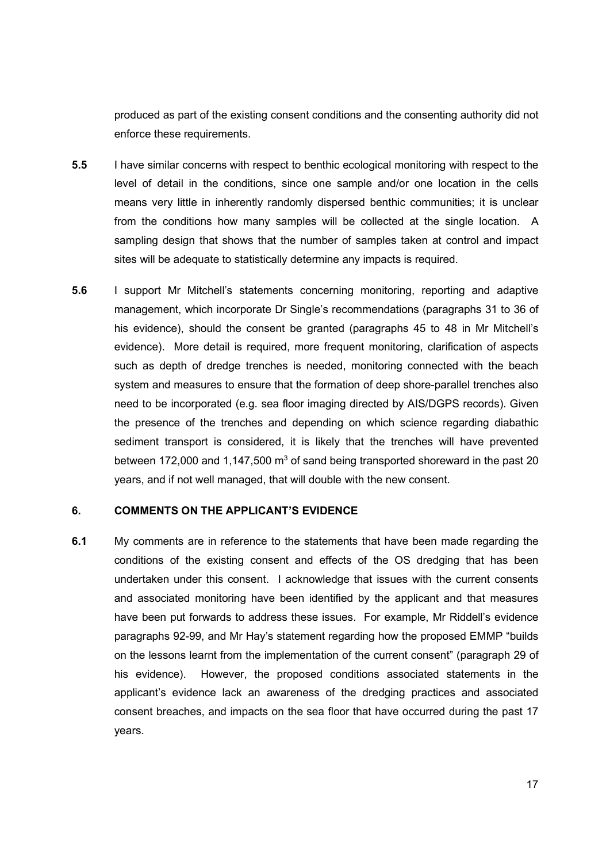produced as part of the existing consent conditions and the consenting authority did not enforce these requirements.

- 5.5 I have similar concerns with respect to benthic ecological monitoring with respect to the level of detail in the conditions, since one sample and/or one location in the cells means very little in inherently randomly dispersed benthic communities; it is unclear from the conditions how many samples will be collected at the single location. A sampling design that shows that the number of samples taken at control and impact sites will be adequate to statistically determine any impacts is required.
- 5.6 I support Mr Mitchell's statements concerning monitoring, reporting and adaptive management, which incorporate Dr Single's recommendations (paragraphs 31 to 36 of his evidence), should the consent be granted (paragraphs 45 to 48 in Mr Mitchell's evidence). More detail is required, more frequent monitoring, clarification of aspects such as depth of dredge trenches is needed, monitoring connected with the beach system and measures to ensure that the formation of deep shore-parallel trenches also need to be incorporated (e.g. sea floor imaging directed by AIS/DGPS records). Given the presence of the trenches and depending on which science regarding diabathic sediment transport is considered, it is likely that the trenches will have prevented between 172,000 and 1,147,500  $\text{m}^3$  of sand being transported shoreward in the past 20 years, and if not well managed, that will double with the new consent.

## 6. COMMENTS ON THE APPLICANT'S EVIDENCE

6.1 My comments are in reference to the statements that have been made regarding the conditions of the existing consent and effects of the OS dredging that has been undertaken under this consent. I acknowledge that issues with the current consents and associated monitoring have been identified by the applicant and that measures have been put forwards to address these issues. For example, Mr Riddell's evidence paragraphs 92-99, and Mr Hay's statement regarding how the proposed EMMP "builds on the lessons learnt from the implementation of the current consent" (paragraph 29 of his evidence). However, the proposed conditions associated statements in the applicant's evidence lack an awareness of the dredging practices and associated consent breaches, and impacts on the sea floor that have occurred during the past 17 years.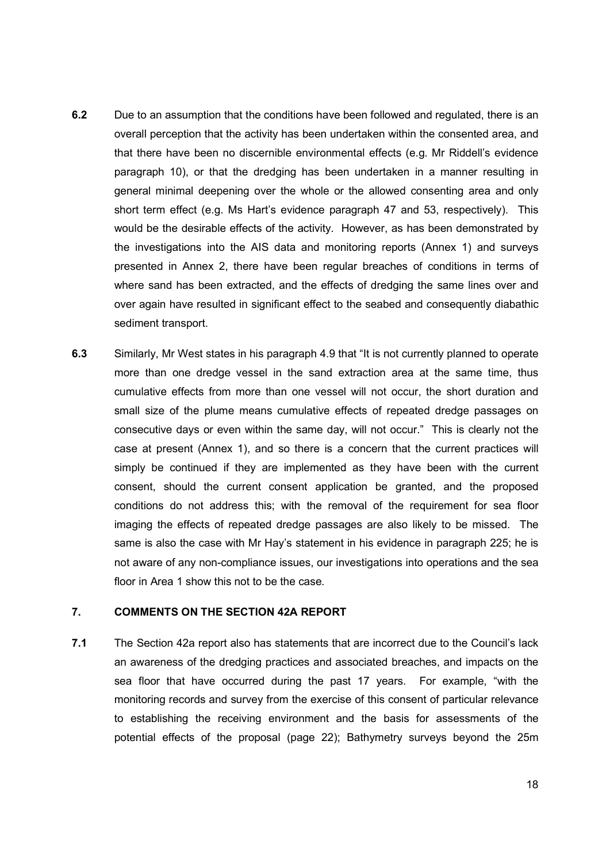- 6.2 Due to an assumption that the conditions have been followed and regulated, there is an overall perception that the activity has been undertaken within the consented area, and that there have been no discernible environmental effects (e.g. Mr Riddell's evidence paragraph 10), or that the dredging has been undertaken in a manner resulting in general minimal deepening over the whole or the allowed consenting area and only short term effect (e.g. Ms Hart's evidence paragraph 47 and 53, respectively). This would be the desirable effects of the activity. However, as has been demonstrated by the investigations into the AIS data and monitoring reports (Annex 1) and surveys presented in Annex 2, there have been regular breaches of conditions in terms of where sand has been extracted, and the effects of dredging the same lines over and over again have resulted in significant effect to the seabed and consequently diabathic sediment transport.
- 6.3 Similarly, Mr West states in his paragraph 4.9 that "It is not currently planned to operate more than one dredge vessel in the sand extraction area at the same time, thus cumulative effects from more than one vessel will not occur, the short duration and small size of the plume means cumulative effects of repeated dredge passages on consecutive days or even within the same day, will not occur." This is clearly not the case at present (Annex 1), and so there is a concern that the current practices will simply be continued if they are implemented as they have been with the current consent, should the current consent application be granted, and the proposed conditions do not address this; with the removal of the requirement for sea floor imaging the effects of repeated dredge passages are also likely to be missed. The same is also the case with Mr Hay's statement in his evidence in paragraph 225; he is not aware of any non-compliance issues, our investigations into operations and the sea floor in Area 1 show this not to be the case.

# 7. COMMENTS ON THE SECTION 42A REPORT

7.1 The Section 42a report also has statements that are incorrect due to the Council's lack an awareness of the dredging practices and associated breaches, and impacts on the sea floor that have occurred during the past 17 years. For example, "with the monitoring records and survey from the exercise of this consent of particular relevance to establishing the receiving environment and the basis for assessments of the potential effects of the proposal (page 22); Bathymetry surveys beyond the 25m